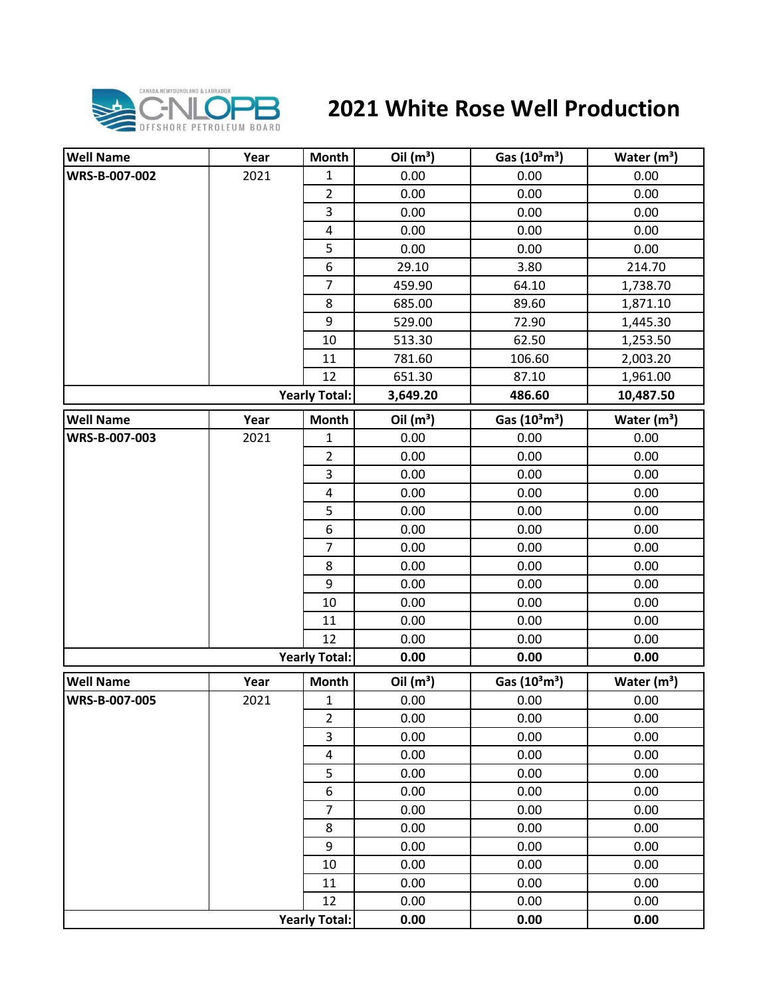

## **2021 White Rose Well Production**

| <b>Well Name</b> | Year | Month                | Oil $(m^3)$ | Gas $(10^3 \text{m}^3)$               | Water $(m^3)$ |
|------------------|------|----------------------|-------------|---------------------------------------|---------------|
| WRS-B-007-002    | 2021 | $\mathbf{1}$         | 0.00        | 0.00                                  | 0.00          |
|                  |      | $\overline{2}$       | 0.00        | 0.00                                  | 0.00          |
|                  |      | 3                    | 0.00        | 0.00                                  | 0.00          |
|                  |      | $\overline{4}$       | 0.00        | 0.00                                  | 0.00          |
|                  |      | 5                    | 0.00        | 0.00                                  | 0.00          |
|                  |      | $\boldsymbol{6}$     | 29.10       | 3.80                                  | 214.70        |
|                  |      | $\overline{7}$       | 459.90      | 64.10                                 | 1,738.70      |
|                  |      | 8                    | 685.00      | 89.60                                 | 1,871.10      |
|                  |      | 9                    | 529.00      | 72.90                                 | 1,445.30      |
|                  |      | 10                   | 513.30      | 62.50                                 | 1,253.50      |
|                  |      | 11                   | 781.60      | 106.60                                | 2,003.20      |
|                  |      | 12                   | 651.30      | 87.10                                 | 1,961.00      |
|                  |      | <b>Yearly Total:</b> | 3,649.20    | 486.60                                | 10,487.50     |
| <b>Well Name</b> | Year | <b>Month</b>         | Oil $(m^3)$ | Gas (10 <sup>3</sup> m <sup>3</sup> ) | Water $(m^3)$ |
| WRS-B-007-003    | 2021 | 1                    | 0.00        | 0.00                                  | 0.00          |
|                  |      | $\overline{2}$       | 0.00        | 0.00                                  | 0.00          |
|                  |      | 3                    | 0.00        | 0.00                                  | 0.00          |
|                  |      | $\overline{4}$       | 0.00        | 0.00                                  | 0.00          |
|                  |      | 5                    | 0.00        | 0.00                                  | 0.00          |
|                  |      | $\boldsymbol{6}$     | 0.00        | 0.00                                  | 0.00          |
|                  |      | $\overline{7}$       | 0.00        | 0.00                                  | 0.00          |
|                  |      | 8                    | 0.00        | 0.00                                  | 0.00          |
|                  |      | 9                    | 0.00        | 0.00                                  | 0.00          |
|                  |      | 10                   | 0.00        | 0.00                                  | 0.00          |
|                  |      | 11                   | 0.00        | 0.00                                  | 0.00          |
|                  |      | 12                   | 0.00        | 0.00                                  | 0.00          |
|                  |      | <b>Yearly Total:</b> | 0.00        | 0.00                                  | 0.00          |
| <b>Well Name</b> | Year | <b>Month</b>         | Oil $(m^3)$ | Gas $(10^3 \text{m}^3)$               | Water $(m^3)$ |
| WRS-B-007-005    | 2021 | $\mathbf{1}$         | 0.00        | 0.00                                  | 0.00          |
|                  |      | $\overline{2}$       | 0.00        | 0.00                                  | 0.00          |
|                  |      | 3                    | 0.00        | 0.00                                  | 0.00          |
|                  |      | $\pmb{4}$            | 0.00        | 0.00                                  | 0.00          |
|                  |      | 5                    | 0.00        | 0.00                                  | 0.00          |
|                  |      | $\boldsymbol{6}$     | 0.00        | 0.00                                  | 0.00          |
|                  |      | $\overline{7}$       | 0.00        | 0.00                                  | 0.00          |
|                  |      | 8                    | 0.00        | 0.00                                  | 0.00          |
|                  |      | 9                    | 0.00        | 0.00                                  | 0.00          |
|                  |      | 10                   | 0.00        | 0.00                                  | 0.00          |
|                  |      | 11                   | 0.00        | 0.00                                  | 0.00          |
|                  |      | 12                   | 0.00        | 0.00                                  | 0.00          |
|                  |      | <b>Yearly Total:</b> | 0.00        | 0.00                                  | 0.00          |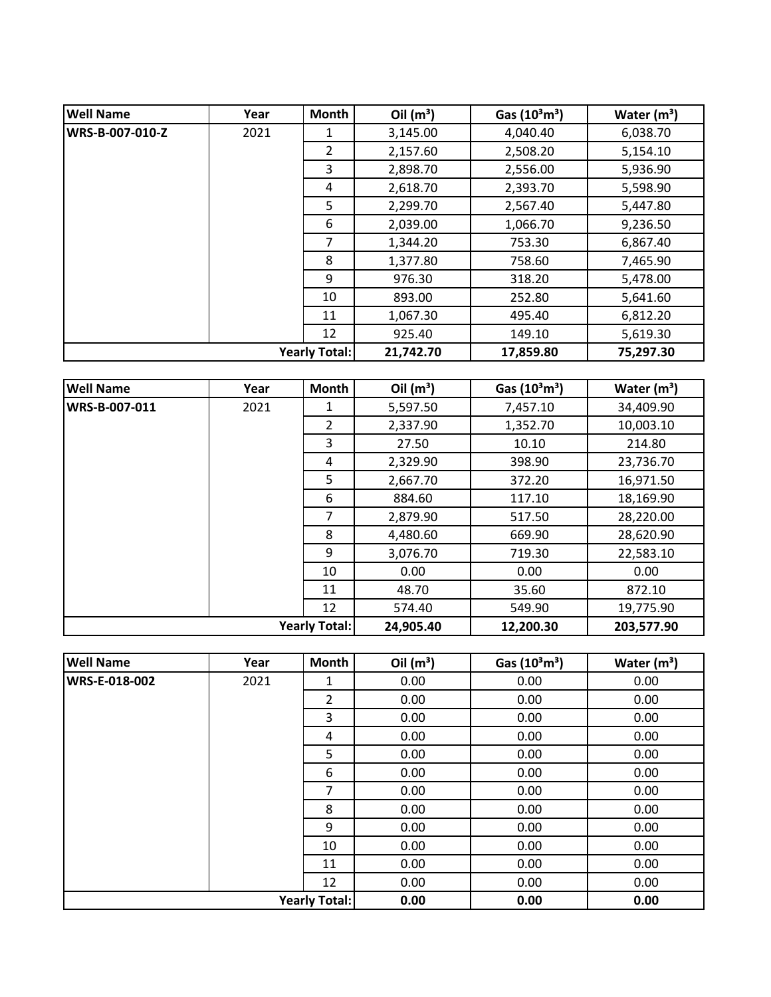| <b>Well Name</b> | Year | Month         | Oil $(m^3)$ | Gas $(10^3 \text{m}^3)$ | Water $(m^3)$ |
|------------------|------|---------------|-------------|-------------------------|---------------|
| WRS-B-007-010-Z  | 2021 | 1             | 3,145.00    | 4,040.40                | 6,038.70      |
|                  |      | 2             | 2,157.60    | 2,508.20                | 5,154.10      |
|                  |      | 3             | 2,898.70    | 2,556.00                | 5,936.90      |
|                  |      | 4             | 2,618.70    | 2,393.70                | 5,598.90      |
|                  |      | 5             | 2,299.70    | 2,567.40                | 5,447.80      |
|                  |      | 6             | 2,039.00    | 1,066.70                | 9,236.50      |
|                  |      | 7             | 1,344.20    | 753.30                  | 6,867.40      |
|                  |      | 8             | 1,377.80    | 758.60                  | 7,465.90      |
|                  |      | 9             | 976.30      | 318.20                  | 5,478.00      |
|                  |      | 10            | 893.00      | 252.80                  | 5,641.60      |
|                  |      | 11            | 1,067.30    | 495.40                  | 6,812.20      |
|                  |      | 12            | 925.40      | 149.10                  | 5,619.30      |
|                  |      | Yearly Total: | 21,742.70   | 17,859.80               | 75,297.30     |

| <b>Well Name</b> | Year | Month                | Oil $(m^3)$ | Gas $(10^3 \text{m}^3)$ | Water $(m^3)$ |
|------------------|------|----------------------|-------------|-------------------------|---------------|
| WRS-B-007-011    | 2021 | 1                    | 5,597.50    | 7,457.10                | 34,409.90     |
|                  |      | $\mathcal{P}$        | 2,337.90    | 1,352.70                | 10,003.10     |
|                  |      | 3                    | 27.50       | 10.10                   | 214.80        |
|                  |      | 4                    | 2,329.90    | 398.90                  | 23,736.70     |
|                  |      | 5                    | 2,667.70    | 372.20                  | 16,971.50     |
|                  |      | 6                    | 884.60      | 117.10                  | 18,169.90     |
|                  |      | 7                    | 2,879.90    | 517.50                  | 28,220.00     |
|                  |      | 8                    | 4,480.60    | 669.90                  | 28,620.90     |
|                  |      | 9                    | 3,076.70    | 719.30                  | 22,583.10     |
|                  |      | 10                   | 0.00        | 0.00                    | 0.00          |
|                  |      | 11                   | 48.70       | 35.60                   | 872.10        |
|                  |      | 12                   | 574.40      | 549.90                  | 19,775.90     |
|                  |      | <b>Yearly Total:</b> | 24,905.40   | 12,200.30               | 203,577.90    |

| <b>Well Name</b>     | Year | <b>Month</b>         | Oil $(m^3)$ | Gas $(10^3 \text{m}^3)$ | Water $(m^3)$ |
|----------------------|------|----------------------|-------------|-------------------------|---------------|
| <b>WRS-E-018-002</b> | 2021 | 1                    | 0.00        | 0.00                    | 0.00          |
|                      |      | $\overline{2}$       | 0.00        | 0.00                    | 0.00          |
|                      |      | 3                    | 0.00        | 0.00                    | 0.00          |
|                      |      | 4                    | 0.00        | 0.00                    | 0.00          |
|                      |      | 5                    | 0.00        | 0.00                    | 0.00          |
|                      |      | 6                    | 0.00        | 0.00                    | 0.00          |
|                      |      | 7                    | 0.00        | 0.00                    | 0.00          |
|                      |      | 8                    | 0.00        | 0.00                    | 0.00          |
|                      |      | 9                    | 0.00        | 0.00                    | 0.00          |
|                      |      | 10                   | 0.00        | 0.00                    | 0.00          |
|                      |      | 11                   | 0.00        | 0.00                    | 0.00          |
|                      |      | 12                   | 0.00        | 0.00                    | 0.00          |
|                      |      | <b>Yearly Total:</b> | 0.00        | 0.00                    | 0.00          |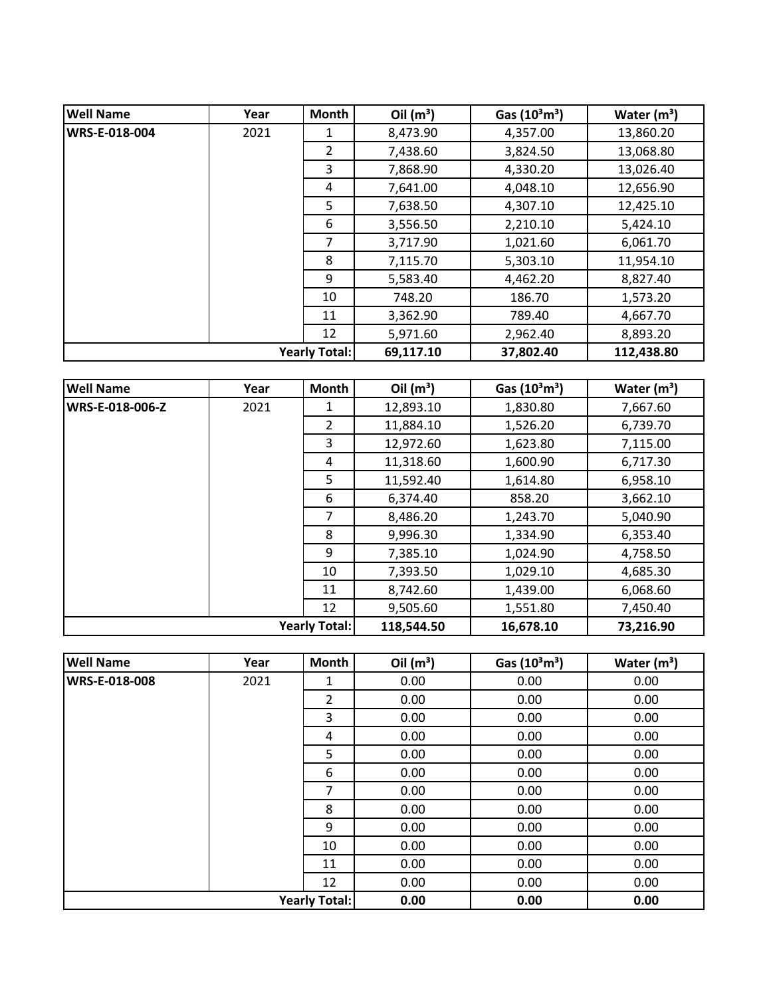| <b>Well Name</b> | Year | Month                | Oil $(m^3)$ | Gas $(10^3 \text{m}^3)$ | Water $(m^3)$ |
|------------------|------|----------------------|-------------|-------------------------|---------------|
| WRS-E-018-004    | 2021 | 1                    | 8,473.90    | 4,357.00                | 13,860.20     |
|                  |      | $\overline{2}$       | 7,438.60    | 3,824.50                | 13,068.80     |
|                  |      | 3                    | 7,868.90    | 4,330.20                | 13,026.40     |
|                  |      | 4                    | 7,641.00    | 4,048.10                | 12,656.90     |
|                  |      | 5                    | 7,638.50    | 4,307.10                | 12,425.10     |
|                  |      | 6                    | 3,556.50    | 2,210.10                | 5,424.10      |
|                  |      | 7                    | 3,717.90    | 1,021.60                | 6,061.70      |
|                  |      | 8                    | 7,115.70    | 5,303.10                | 11,954.10     |
|                  |      | 9                    | 5,583.40    | 4,462.20                | 8,827.40      |
|                  |      | 10                   | 748.20      | 186.70                  | 1,573.20      |
|                  |      | 11                   | 3,362.90    | 789.40                  | 4,667.70      |
|                  |      | 12                   | 5,971.60    | 2,962.40                | 8,893.20      |
|                  |      | <b>Yearly Total:</b> | 69,117.10   | 37,802.40               | 112,438.80    |

| <b>Well Name</b> | Year | <b>Month</b>         | Oil $(m^3)$ | Gas $(10^3 \text{m}^3)$ | Water $(m^3)$ |
|------------------|------|----------------------|-------------|-------------------------|---------------|
| WRS-E-018-006-Z  | 2021 | 1                    | 12,893.10   | 1,830.80                | 7,667.60      |
|                  |      | 2                    | 11,884.10   | 1,526.20                | 6,739.70      |
|                  |      | 3                    | 12,972.60   | 1,623.80                | 7,115.00      |
|                  |      | 4                    | 11,318.60   | 1,600.90                | 6,717.30      |
|                  |      | 5                    | 11,592.40   | 1,614.80                | 6,958.10      |
|                  |      | 6                    | 6,374.40    | 858.20                  | 3,662.10      |
|                  |      | 7                    | 8,486.20    | 1,243.70                | 5,040.90      |
|                  |      | 8                    | 9,996.30    | 1,334.90                | 6,353.40      |
|                  |      | 9                    | 7,385.10    | 1,024.90                | 4,758.50      |
|                  |      | 10                   | 7,393.50    | 1,029.10                | 4,685.30      |
|                  |      | 11                   | 8,742.60    | 1,439.00                | 6,068.60      |
|                  |      | 12                   | 9,505.60    | 1,551.80                | 7,450.40      |
|                  |      | <b>Yearly Total:</b> | 118,544.50  | 16,678.10               | 73,216.90     |

| <b>Well Name</b>     | Year | <b>Month</b>         | Oil $(m^3)$ | Gas $(10^3 \text{m}^3)$ | Water $(m^3)$ |
|----------------------|------|----------------------|-------------|-------------------------|---------------|
| <b>WRS-E-018-008</b> | 2021 | 1                    | 0.00        | 0.00                    | 0.00          |
|                      |      | $\overline{2}$       | 0.00        | 0.00                    | 0.00          |
|                      |      | 3                    | 0.00        | 0.00                    | 0.00          |
|                      |      | 4                    | 0.00        | 0.00                    | 0.00          |
|                      |      | 5                    | 0.00        | 0.00                    | 0.00          |
|                      |      | 6                    | 0.00        | 0.00                    | 0.00          |
|                      |      | 7                    | 0.00        | 0.00                    | 0.00          |
|                      |      | 8                    | 0.00        | 0.00                    | 0.00          |
|                      |      | 9                    | 0.00        | 0.00                    | 0.00          |
|                      |      | 10                   | 0.00        | 0.00                    | 0.00          |
|                      |      | 11                   | 0.00        | 0.00                    | 0.00          |
|                      |      | 12                   | 0.00        | 0.00                    | 0.00          |
|                      |      | <b>Yearly Total:</b> | 0.00        | 0.00                    | 0.00          |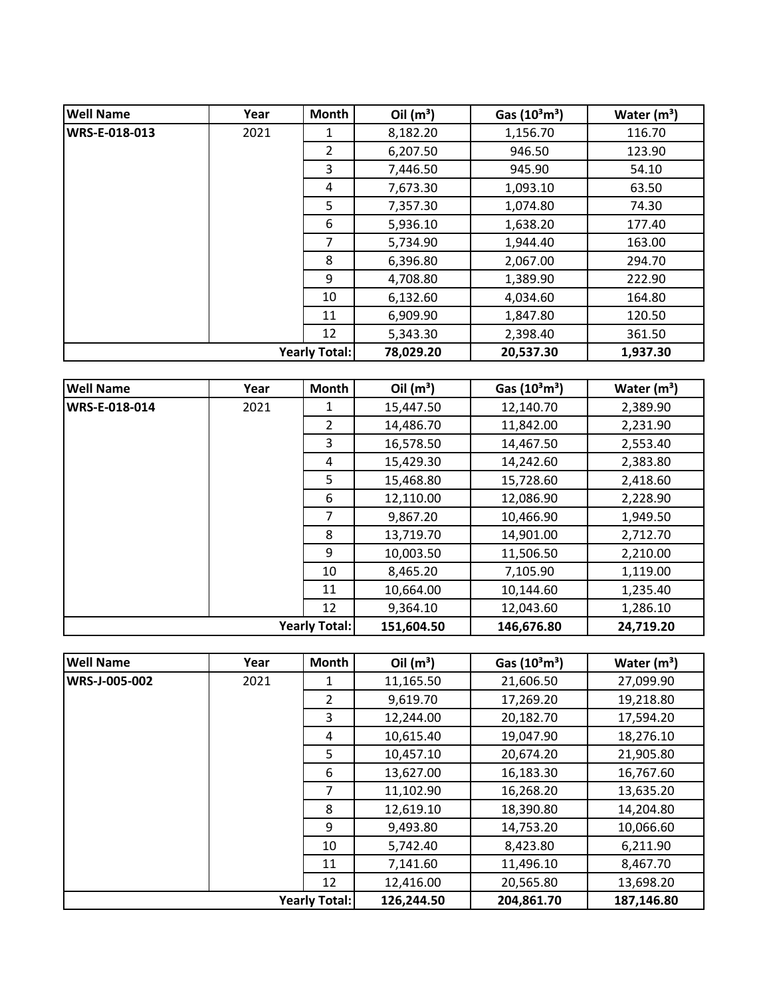| <b>Well Name</b> | Year | <b>Month</b>         | Oil $(m^3)$ | Gas $(10^3 \text{m}^3)$ | Water $(m^3)$ |
|------------------|------|----------------------|-------------|-------------------------|---------------|
| WRS-E-018-013    | 2021 | 1                    | 8,182.20    | 1,156.70                | 116.70        |
|                  |      | 2                    | 6,207.50    | 946.50                  | 123.90        |
|                  |      | 3                    | 7,446.50    | 945.90                  | 54.10         |
|                  |      | 4                    | 7,673.30    | 1,093.10                | 63.50         |
|                  |      | 5                    | 7,357.30    | 1,074.80                | 74.30         |
|                  |      | 6                    | 5,936.10    | 1,638.20                | 177.40        |
|                  |      | 7                    | 5,734.90    | 1,944.40                | 163.00        |
|                  |      | 8                    | 6,396.80    | 2,067.00                | 294.70        |
|                  |      | 9                    | 4,708.80    | 1,389.90                | 222.90        |
|                  |      | 10                   | 6,132.60    | 4,034.60                | 164.80        |
|                  |      | 11                   | 6,909.90    | 1,847.80                | 120.50        |
|                  |      | 12                   | 5,343.30    | 2,398.40                | 361.50        |
|                  |      | <b>Yearly Total:</b> | 78,029.20   | 20,537.30               | 1,937.30      |

| <b>Well Name</b> | Year | <b>Month</b>         | Oil $(m^3)$ | Gas $(10^3 \text{m}^3)$ | Water $(m^3)$ |
|------------------|------|----------------------|-------------|-------------------------|---------------|
| WRS-E-018-014    | 2021 | 1                    | 15,447.50   | 12,140.70               | 2,389.90      |
|                  |      | 2                    | 14,486.70   | 11,842.00               | 2,231.90      |
|                  |      | 3                    | 16,578.50   | 14,467.50               | 2,553.40      |
|                  |      | 4                    | 15,429.30   | 14,242.60               | 2,383.80      |
|                  |      | 5                    | 15,468.80   | 15,728.60               | 2,418.60      |
|                  |      | 6                    | 12,110.00   | 12,086.90               | 2,228.90      |
|                  |      | 7                    | 9,867.20    | 10,466.90               | 1,949.50      |
|                  |      | 8                    | 13,719.70   | 14,901.00               | 2,712.70      |
|                  |      | 9                    | 10,003.50   | 11,506.50               | 2,210.00      |
|                  |      | 10                   | 8,465.20    | 7,105.90                | 1,119.00      |
|                  |      | 11                   | 10,664.00   | 10,144.60               | 1,235.40      |
|                  |      | 12                   | 9,364.10    | 12,043.60               | 1,286.10      |
|                  |      | <b>Yearly Total:</b> | 151,604.50  | 146,676.80              | 24,719.20     |

| <b>Well Name</b>     | Year | Month                | Oil $(m^3)$ | Gas $(10^3 \text{m}^3)$ | Water $(m^3)$ |
|----------------------|------|----------------------|-------------|-------------------------|---------------|
| <b>WRS-J-005-002</b> | 2021 | 1                    | 11,165.50   | 21,606.50               | 27,099.90     |
|                      |      | $\overline{2}$       | 9,619.70    | 17,269.20               | 19,218.80     |
|                      |      | 3                    | 12,244.00   | 20,182.70               | 17,594.20     |
|                      |      | 4                    | 10,615.40   | 19,047.90               | 18,276.10     |
|                      |      | 5.                   | 10,457.10   | 20,674.20               | 21,905.80     |
|                      |      | 6                    | 13,627.00   | 16,183.30               | 16,767.60     |
|                      |      | 7                    | 11,102.90   | 16,268.20               | 13,635.20     |
|                      |      | 8                    | 12,619.10   | 18,390.80               | 14,204.80     |
|                      |      | 9                    | 9,493.80    | 14,753.20               | 10,066.60     |
|                      |      | 10                   | 5,742.40    | 8,423.80                | 6,211.90      |
|                      |      | 11                   | 7,141.60    | 11,496.10               | 8,467.70      |
|                      |      | 12                   | 12,416.00   | 20,565.80               | 13,698.20     |
|                      |      | <b>Yearly Total:</b> | 126,244.50  | 204,861.70              | 187,146.80    |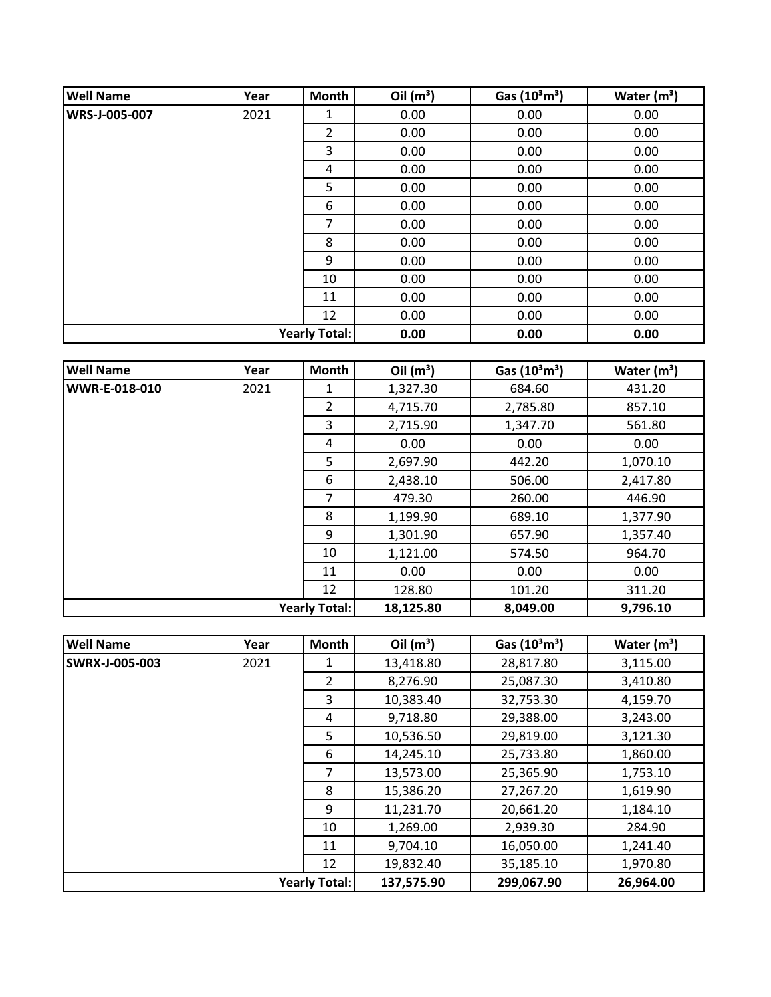| <b>Well Name</b>     | Year | <b>Month</b> | Oil $(m^3)$ | Gas $(10^3 \text{m}^3)$ | Water $(m^3)$ |
|----------------------|------|--------------|-------------|-------------------------|---------------|
| <b>WRS-J-005-007</b> | 2021 | 1            | 0.00        | 0.00                    | 0.00          |
|                      |      | 2            | 0.00        | 0.00                    | 0.00          |
|                      |      | 3            | 0.00        | 0.00                    | 0.00          |
|                      |      | 4            | 0.00        | 0.00                    | 0.00          |
|                      |      | 5            | 0.00        | 0.00                    | 0.00          |
|                      |      | 6            | 0.00        | 0.00                    | 0.00          |
|                      |      | 7            | 0.00        | 0.00                    | 0.00          |
|                      |      | 8            | 0.00        | 0.00                    | 0.00          |
|                      |      | 9            | 0.00        | 0.00                    | 0.00          |
|                      |      | 10           | 0.00        | 0.00                    | 0.00          |
|                      |      | 11           | 0.00        | 0.00                    | 0.00          |
|                      |      | 12           | 0.00        | 0.00                    | 0.00          |
| <b>Yearly Total:</b> |      | 0.00         | 0.00        | 0.00                    |               |

| <b>Well Name</b>     | Year | Month                | Oil $(m^3)$ | Gas $(10^3 \text{m}^3)$ | Water $(m^3)$ |
|----------------------|------|----------------------|-------------|-------------------------|---------------|
| <b>WWR-E-018-010</b> | 2021 | 1                    | 1,327.30    | 684.60                  | 431.20        |
|                      |      | 2                    | 4,715.70    | 2,785.80                | 857.10        |
|                      |      | 3                    | 2,715.90    | 1,347.70                | 561.80        |
|                      |      | 4                    | 0.00        | 0.00                    | 0.00          |
|                      |      | 5                    | 2,697.90    | 442.20                  | 1,070.10      |
|                      |      | 6                    | 2,438.10    | 506.00                  | 2,417.80      |
|                      |      | 7                    | 479.30      | 260.00                  | 446.90        |
|                      |      | 8                    | 1,199.90    | 689.10                  | 1,377.90      |
|                      |      | 9                    | 1,301.90    | 657.90                  | 1,357.40      |
|                      |      | 10                   | 1,121.00    | 574.50                  | 964.70        |
|                      |      | 11                   | 0.00        | 0.00                    | 0.00          |
|                      |      | 12                   | 128.80      | 101.20                  | 311.20        |
|                      |      | <b>Yearly Total:</b> | 18,125.80   | 8,049.00                | 9,796.10      |

| <b>Well Name</b>      | Year | Month          | Oil $(m^3)$ | Gas $(10^3 \text{m}^3)$ | Water $(m^3)$ |
|-----------------------|------|----------------|-------------|-------------------------|---------------|
| <b>SWRX-J-005-003</b> | 2021 |                | 13,418.80   | 28,817.80               | 3,115.00      |
|                       |      | $\overline{2}$ | 8,276.90    | 25,087.30               | 3,410.80      |
|                       |      | 3              | 10,383.40   | 32,753.30               | 4,159.70      |
|                       |      | 4              | 9,718.80    | 29,388.00               | 3,243.00      |
|                       |      | 5.             | 10,536.50   | 29,819.00               | 3,121.30      |
|                       |      | 6              | 14,245.10   | 25,733.80               | 1,860.00      |
|                       |      | 7              | 13,573.00   | 25,365.90               | 1,753.10      |
|                       |      | 8              | 15,386.20   | 27,267.20               | 1,619.90      |
|                       |      | 9              | 11,231.70   | 20,661.20               | 1,184.10      |
|                       |      | 10             | 1,269.00    | 2,939.30                | 284.90        |
|                       |      | 11             | 9,704.10    | 16,050.00               | 1,241.40      |
|                       |      | 12             | 19,832.40   | 35,185.10               | 1,970.80      |
| <b>Yearly Total:</b>  |      | 137,575.90     | 299,067.90  | 26,964.00               |               |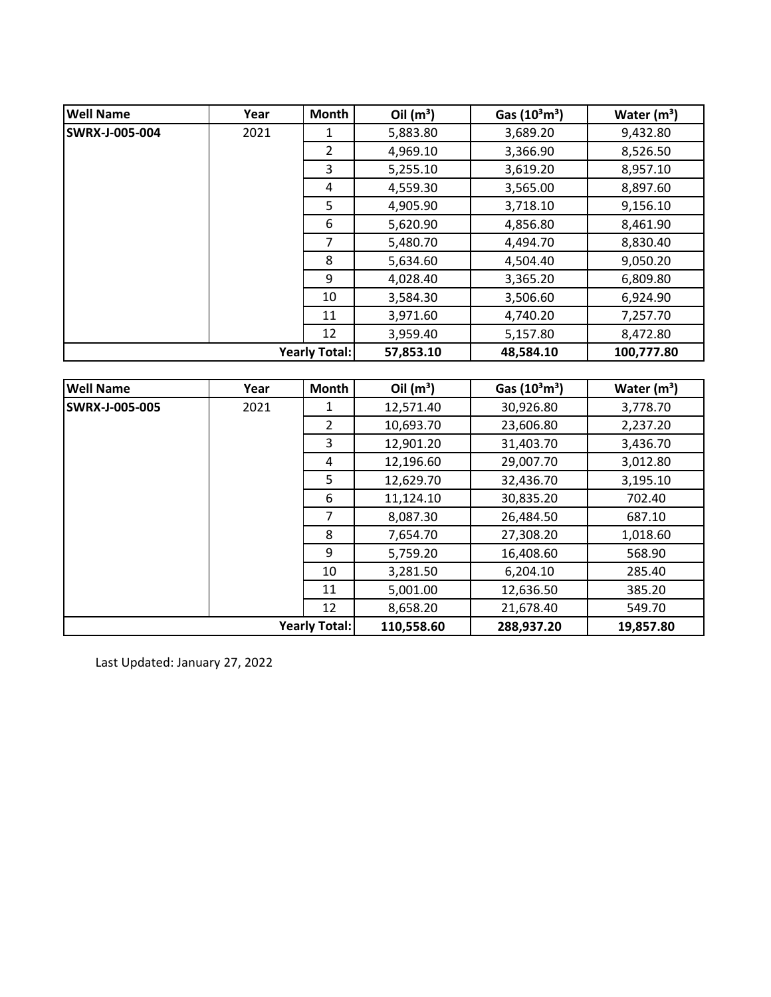| <b>Well Name</b>     | Year | <b>Month</b>  | Oil $(m^3)$ | Gas $(10^3 \text{m}^3)$ | Water $(m^3)$ |
|----------------------|------|---------------|-------------|-------------------------|---------------|
| SWRX-J-005-004       | 2021 | 1             | 5,883.80    | 3,689.20                | 9,432.80      |
|                      |      | $\mathcal{P}$ | 4,969.10    | 3,366.90                | 8,526.50      |
|                      |      | 3             | 5,255.10    | 3,619.20                | 8,957.10      |
|                      |      | 4             | 4,559.30    | 3,565.00                | 8,897.60      |
|                      |      | 5             | 4,905.90    | 3,718.10                | 9,156.10      |
|                      |      | 6             | 5,620.90    | 4,856.80                | 8,461.90      |
|                      |      | 7             | 5,480.70    | 4,494.70                | 8,830.40      |
|                      |      | 8             | 5,634.60    | 4,504.40                | 9,050.20      |
|                      |      | 9             | 4,028.40    | 3,365.20                | 6,809.80      |
|                      |      | 10            | 3,584.30    | 3,506.60                | 6,924.90      |
|                      |      | 11            | 3,971.60    | 4,740.20                | 7,257.70      |
|                      |      | 12            | 3,959.40    | 5,157.80                | 8,472.80      |
| <b>Yearly Total:</b> |      | 57,853.10     | 48,584.10   | 100,777.80              |               |

| <b>Well Name</b>      | Year | <b>Month</b>  | Oil $(m^3)$ | Gas $(10^3 \text{m}^3)$ | Water $(m^3)$ |
|-----------------------|------|---------------|-------------|-------------------------|---------------|
| <b>SWRX-J-005-005</b> | 2021 | 1             | 12,571.40   | 30,926.80               | 3,778.70      |
|                       |      | $\mathcal{L}$ | 10,693.70   | 23,606.80               | 2,237.20      |
|                       |      | 3             | 12,901.20   | 31,403.70               | 3,436.70      |
|                       |      | 4             | 12,196.60   | 29,007.70               | 3,012.80      |
|                       |      | 5             | 12,629.70   | 32,436.70               | 3,195.10      |
|                       |      | 6             | 11,124.10   | 30,835.20               | 702.40        |
|                       |      | 7             | 8,087.30    | 26,484.50               | 687.10        |
|                       |      | 8             | 7,654.70    | 27,308.20               | 1,018.60      |
|                       |      | 9             | 5,759.20    | 16,408.60               | 568.90        |
|                       |      | 10            | 3,281.50    | 6,204.10                | 285.40        |
|                       |      | 11            | 5,001.00    | 12,636.50               | 385.20        |
|                       |      | 12            | 8,658.20    | 21,678.40               | 549.70        |
| <b>Yearly Total:</b>  |      | 110,558.60    | 288,937.20  | 19,857.80               |               |

Last Updated: January 27, 2022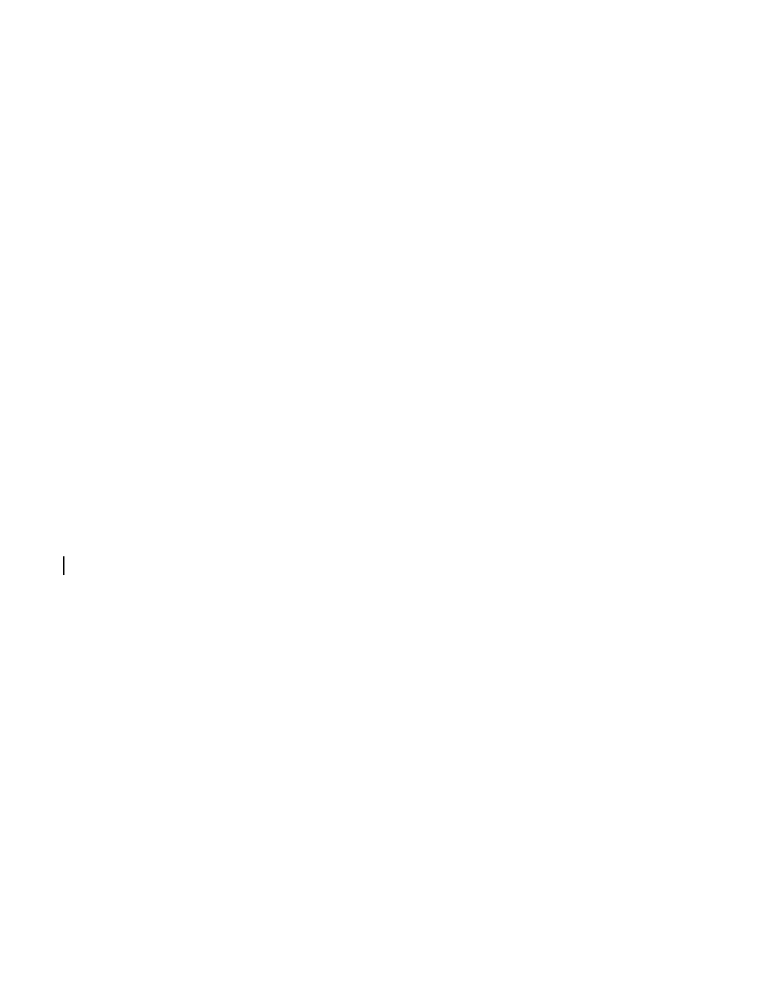$\overline{\mathsf{I}}$